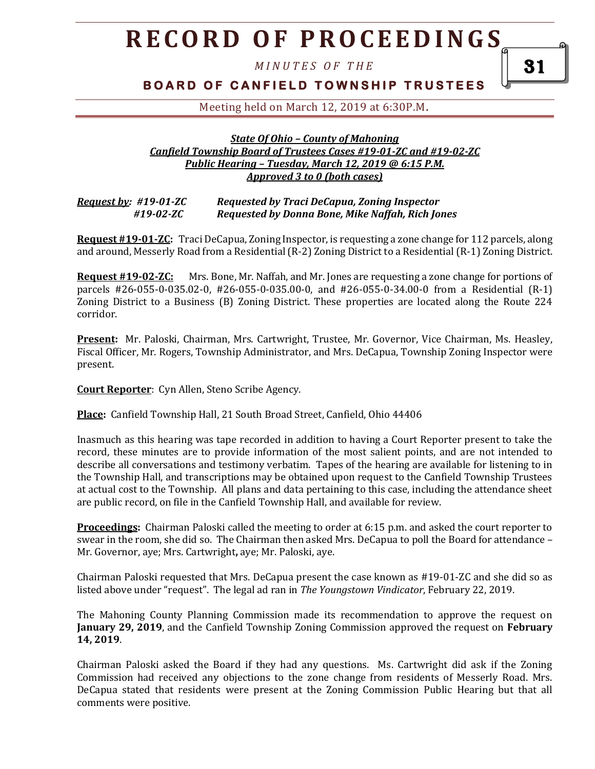# **R E C O R D O F P R O C E E D I N GS**

*M I N U T E S O F T H E* 

**B O A R D O F C A N F I E L D T O W N S H I P T R U S T E E S** 

Meeting held on March 12, 2019 at 6:30P.M**.**

#### *State Of Ohio – County of Mahoning Canfield Township Board of Trustees Cases #19-01-ZC and #19-02-ZC Public Hearing – Tuesday, March 12, 2019 @ 6:15 P.M. Approved 3 to 0 (both cases)*

#### *Request by: #19-01-ZC Requested by Traci DeCapua, Zoning Inspector #19-02-ZC Requested by Donna Bone, Mike Naffah, Rich Jones*

**Request #19-01-ZC:** Traci DeCapua, Zoning Inspector, is requesting a zone change for 112 parcels, along and around, Messerly Road from a Residential (R-2) Zoning District to a Residential (R-1) Zoning District.

**Request #19-02-ZC:** Mrs. Bone, Mr. Naffah, and Mr. Jones are requesting a zone change for portions of parcels #26-055-0-035.02-0, #26-055-0-035.00-0, and #26-055-0-34.00-0 from a Residential (R-1) Zoning District to a Business (B) Zoning District. These properties are located along the Route 224 corridor.

**Present:** Mr. Paloski, Chairman, Mrs. Cartwright, Trustee, Mr. Governor, Vice Chairman, Ms. Heasley, Fiscal Officer, Mr. Rogers, Township Administrator, and Mrs. DeCapua, Township Zoning Inspector were present.

**Court Reporter**: Cyn Allen, Steno Scribe Agency.

**Place:** Canfield Township Hall, 21 South Broad Street, Canfield, Ohio 44406

Inasmuch as this hearing was tape recorded in addition to having a Court Reporter present to take the record, these minutes are to provide information of the most salient points, and are not intended to describe all conversations and testimony verbatim. Tapes of the hearing are available for listening to in the Township Hall, and transcriptions may be obtained upon request to the Canfield Township Trustees at actual cost to the Township. All plans and data pertaining to this case, including the attendance sheet are public record, on file in the Canfield Township Hall, and available for review.

**Proceedings:** Chairman Paloski called the meeting to order at 6:15 p.m. and asked the court reporter to swear in the room, she did so. The Chairman then asked Mrs. DeCapua to poll the Board for attendance – Mr. Governor, aye; Mrs. Cartwright**,** aye; Mr. Paloski, aye.

Chairman Paloski requested that Mrs. DeCapua present the case known as #19-01-ZC and she did so as listed above under "request". The legal ad ran in *The Youngstown Vindicator*, February 22, 2019.

The Mahoning County Planning Commission made its recommendation to approve the request on **January 29, 2019**, and the Canfield Township Zoning Commission approved the request on **February 14, 2019**.

Chairman Paloski asked the Board if they had any questions. Ms. Cartwright did ask if the Zoning Commission had received any objections to the zone change from residents of Messerly Road. Mrs. DeCapua stated that residents were present at the Zoning Commission Public Hearing but that all comments were positive.

31